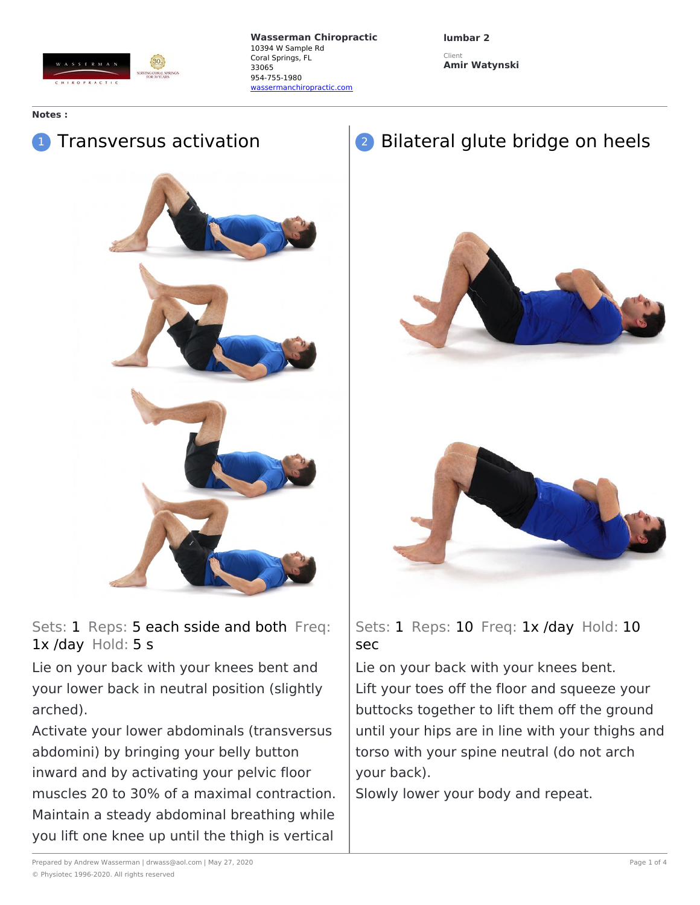

**lumbar 2** Client **Amir Watynski**

## **Notes :**

## <sup>1</sup> Transversus activation



## Bilateral glute bridge on heels





Sets: 1 Reps: 5 each sside and both Freq: 1x /day Hold: 5 s

Lie on your back with your knees bent and your lower back in neutral position (slightly arched).

Activate your lower abdominals (transversus abdomini) by bringing your belly button inward and by activating your pelvic floor muscles 20 to 30% of a maximal contraction. Maintain a steady abdominal breathing while you lift one knee up until the thigh is vertical

Sets: 1 Reps: 10 Freq: 1x /day Hold: 10 sec

Lie on your back with your knees bent. Lift your toes off the floor and squeeze your buttocks together to lift them off the ground until your hips are in line with your thighs and torso with your spine neutral (do not arch your back).

Slowly lower your body and repeat.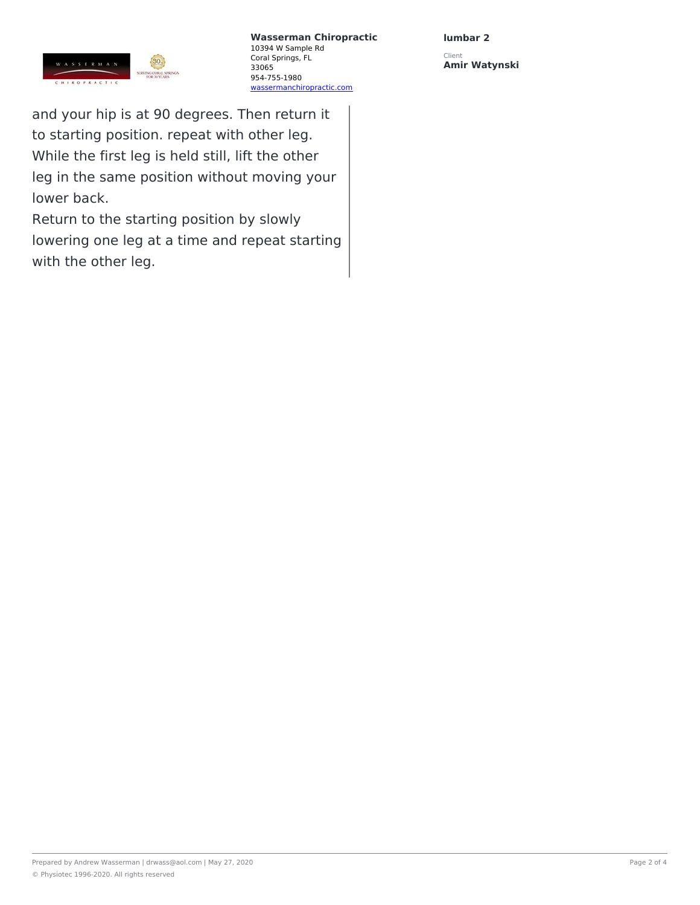

**lumbar 2**

Client **Amir Watynski**

and your hip is at 90 degrees. Then return it to starting position. repeat with other leg. While the first leg is held still, lift the other leg in the same position without moving your lower back.

Return to the starting position by slowly lowering one leg at a time and repeat starting with the other leg.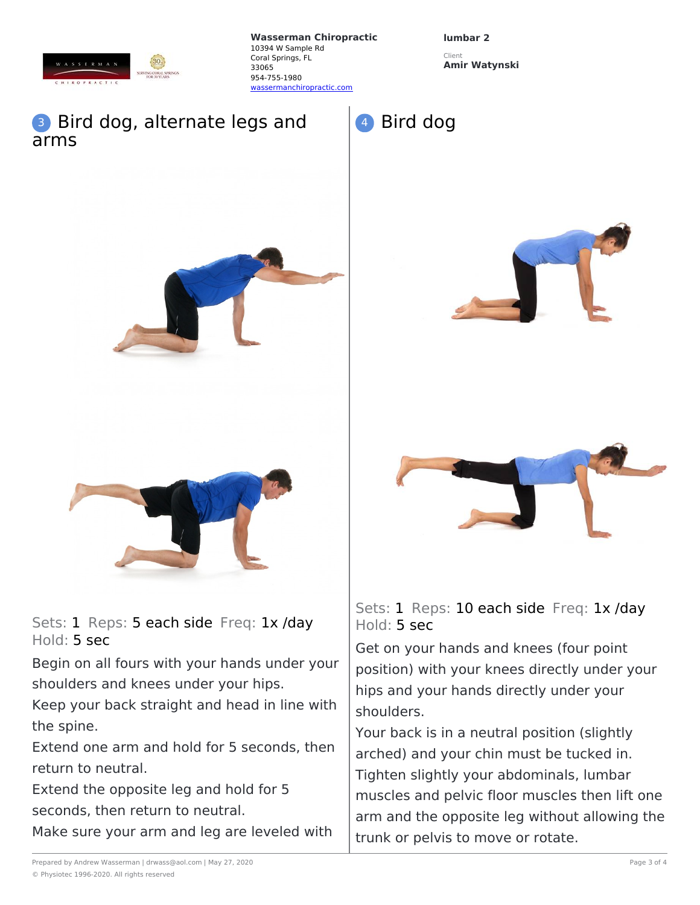

**lumbar 2**

Bird dog

Client **Amir Watynski**

## **3** Bird dog, alternate legs and arms



Sets: 1 Reps: 5 each side Freq: 1x /day Hold: 5 sec

Begin on all fours with your hands under your shoulders and knees under your hips.

Keep your back straight and head in line with the spine.

Extend one arm and hold for 5 seconds, then return to neutral.

Extend the opposite leg and hold for 5 seconds, then return to neutral.

Make sure your arm and leg are leveled with





Sets: 1 Reps: 10 each side Freq: 1x /day Hold: 5 sec

Get on your hands and knees (four point position) with your knees directly under your hips and your hands directly under your shoulders.

Your back is in a neutral position (slightly arched) and your chin must be tucked in. Tighten slightly your abdominals, lumbar muscles and pelvic floor muscles then lift one arm and the opposite leg without allowing the trunk or pelvis to move or rotate.